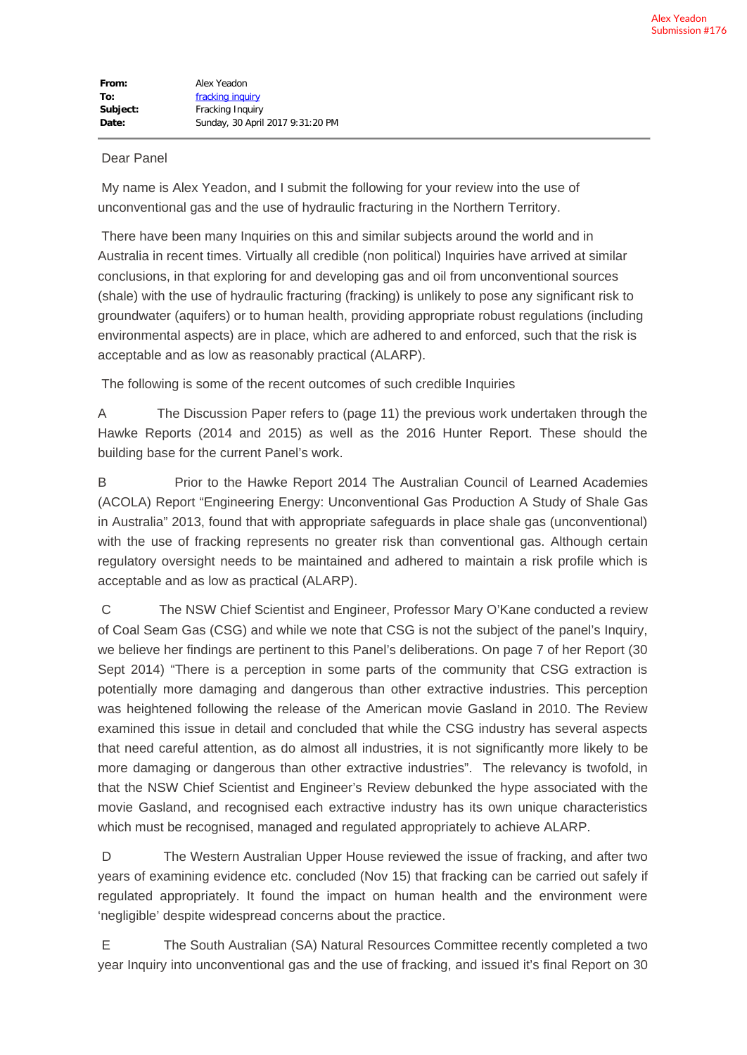## Dear Panel

 My name is Alex Yeadon, and I submit the following for your review into the use of unconventional gas and the use of hydraulic fracturing in the Northern Territory.

 There have been many Inquiries on this and similar subjects around the world and in Australia in recent times. Virtually all credible (non political) Inquiries have arrived at similar conclusions, in that exploring for and developing gas and oil from unconventional sources (shale) with the use of hydraulic fracturing (fracking) is unlikely to pose any significant risk to groundwater (aquifers) or to human health, providing appropriate robust regulations (including environmental aspects) are in place, which are adhered to and enforced, such that the risk is acceptable and as low as reasonably practical (ALARP).

The following is some of the recent outcomes of such credible Inquiries

A The Discussion Paper refers to (page 11) the previous work undertaken through the Hawke Reports (2014 and 2015) as well as the 2016 Hunter Report. These should the building base for the current Panel's work.

B Prior to the Hawke Report 2014 The Australian Council of Learned Academies (ACOLA) Report "Engineering Energy: Unconventional Gas Production A Study of Shale Gas in Australia" 2013, found that with appropriate safeguards in place shale gas (unconventional) with the use of fracking represents no greater risk than conventional gas. Although certain regulatory oversight needs to be maintained and adhered to maintain a risk profile which is acceptable and as low as practical (ALARP).

 C The NSW Chief Scientist and Engineer, Professor Mary O'Kane conducted a review of Coal Seam Gas (CSG) and while we note that CSG is not the subject of the panel's Inquiry, we believe her findings are pertinent to this Panel's deliberations. On page 7 of her Report (30 Sept 2014) "There is a perception in some parts of the community that CSG extraction is potentially more damaging and dangerous than other extractive industries. This perception was heightened following the release of the American movie Gasland in 2010. The Review examined this issue in detail and concluded that while the CSG industry has several aspects that need careful attention, as do almost all industries, it is not significantly more likely to be more damaging or dangerous than other extractive industries". The relevancy is twofold, in that the NSW Chief Scientist and Engineer's Review debunked the hype associated with the movie Gasland, and recognised each extractive industry has its own unique characteristics which must be recognised, managed and regulated appropriately to achieve ALARP.

 D The Western Australian Upper House reviewed the issue of fracking, and after two years of examining evidence etc. concluded (Nov 15) that fracking can be carried out safely if regulated appropriately. It found the impact on human health and the environment were 'negligible' despite widespread concerns about the practice.

 E The South Australian (SA) Natural Resources Committee recently completed a two year Inquiry into unconventional gas and the use of fracking, and issued it's final Report on 30